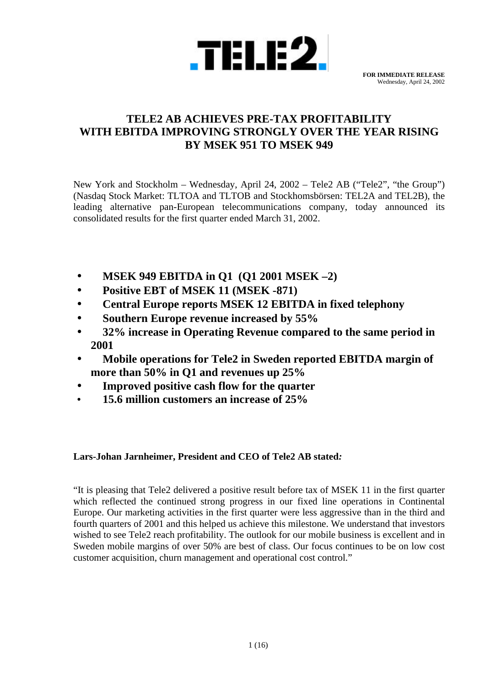

# **TELE2 AB ACHIEVES PRE-TAX PROFITABILITY WITH EBITDA IMPROVING STRONGLY OVER THE YEAR RISING BY MSEK 951 TO MSEK 949**

New York and Stockholm – Wednesday, April 24, 2002 – Tele2 AB ("Tele2", "the Group") (Nasdaq Stock Market: TLTOA and TLTOB and Stockhomsbörsen: TEL2A and TEL2B), the leading alternative pan-European telecommunications company, today announced its consolidated results for the first quarter ended March 31, 2002.

- **MSEK 949 EBITDA in Q1 (Q1 2001 MSEK –2)**
- **Positive EBT of MSEK 11 (MSEK -871)**
- **Central Europe reports MSEK 12 EBITDA in fixed telephony**
- **Southern Europe revenue increased by 55%**
- **32% increase in Operating Revenue compared to the same period in 2001**
- **Mobile operations for Tele2 in Sweden reported EBITDA margin of more than 50% in Q1 and revenues up 25%**
- **Improved positive cash flow for the quarter**
- **15.6 million customers an increase of 25%**

# **Lars-Johan Jarnheimer, President and CEO of Tele2 AB stated***:*

"It is pleasing that Tele2 delivered a positive result before tax of MSEK 11 in the first quarter which reflected the continued strong progress in our fixed line operations in Continental Europe. Our marketing activities in the first quarter were less aggressive than in the third and fourth quarters of 2001 and this helped us achieve this milestone. We understand that investors wished to see Tele2 reach profitability. The outlook for our mobile business is excellent and in Sweden mobile margins of over 50% are best of class. Our focus continues to be on low cost customer acquisition, churn management and operational cost control."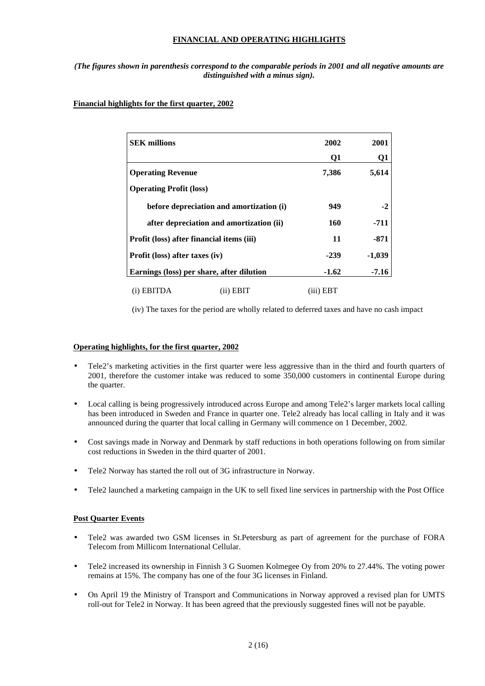## **FINANCIAL AND OPERATING HIGHLIGHTS**

## *(The figures shown in parenthesis correspond to the comparable periods in 2001 and all negative amounts are distinguished with a minus sign).*

## **Financial highlights for the first quarter, 2002**

| <b>SEK millions</b>                       |                                          | 2002      | 2001     |
|-------------------------------------------|------------------------------------------|-----------|----------|
|                                           |                                          | Q1        | Q1       |
| <b>Operating Revenue</b>                  |                                          | 7,386     | 5,614    |
| <b>Operating Profit (loss)</b>            |                                          |           |          |
|                                           | before depreciation and amortization (i) | 949       | $-2$     |
|                                           | after depreciation and amortization (ii) | 160       | -711     |
| Profit (loss) after financial items (iii) |                                          | 11        | $-871$   |
| Profit (loss) after taxes (iv)            |                                          | $-239$    | $-1,039$ |
| Earnings (loss) per share, after dilution | $-1.62$                                  | $-7.16$   |          |
| (i) EBITDA                                | (ii) EBIT                                | (iii) EBT |          |

(iv) The taxes for the period are wholly related to deferred taxes and have no cash impact

## **Operating highlights, for the first quarter, 2002**

- Tele2's marketing activities in the first quarter were less aggressive than in the third and fourth quarters of 2001, therefore the customer intake was reduced to some 350,000 customers in continental Europe during the quarter.
- Local calling is being progressively introduced across Europe and among Tele2's larger markets local calling has been introduced in Sweden and France in quarter one. Tele2 already has local calling in Italy and it was announced during the quarter that local calling in Germany will commence on 1 December, 2002.
- Cost savings made in Norway and Denmark by staff reductions in both operations following on from similar cost reductions in Sweden in the third quarter of 2001.
- Tele2 Norway has started the roll out of 3G infrastructure in Norway.
- Tele2 launched a marketing campaign in the UK to sell fixed line services in partnership with the Post Office

## **Post Quarter Events**

- Tele2 was awarded two GSM licenses in St.Petersburg as part of agreement for the purchase of FORA Telecom from Millicom International Cellular.
- Tele2 increased its ownership in Finnish 3 G Suomen Kolmegee Oy from 20% to 27.44%. The voting power remains at 15%. The company has one of the four 3G licenses in Finland.
- On April 19 the Ministry of Transport and Communications in Norway approved a revised plan for UMTS roll-out for Tele2 in Norway. It has been agreed that the previously suggested fines will not be payable.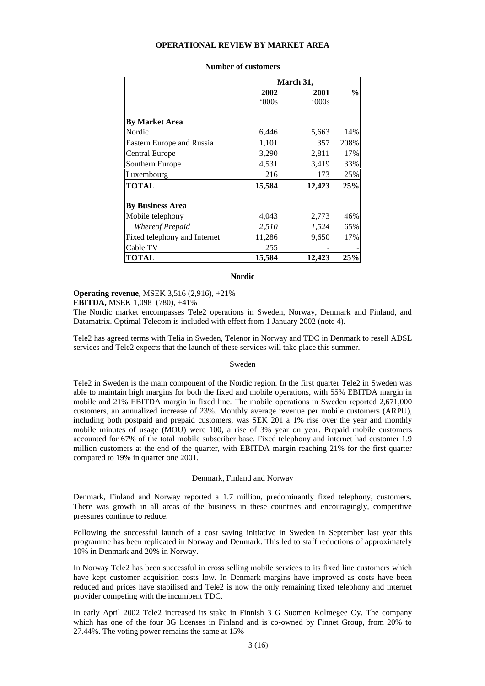#### **OPERATIONAL REVIEW BY MARKET AREA**

|                                  |              | March 31,    |               |
|----------------------------------|--------------|--------------|---------------|
|                                  | 2002<br>000s | 2001<br>000s | $\frac{0}{0}$ |
| <b>By Market Area</b>            |              |              |               |
| Nordic                           | 6,446        | 5,663        | 14%           |
| <b>Eastern Europe and Russia</b> | 1,101        | 357          | 208%          |
| Central Europe                   | 3,290        | 2,811        | 17%           |
| Southern Europe                  | 4,531        | 3,419        | 33%           |
| Luxembourg                       | 216          | 173          | 25%           |
| <b>TOTAL</b>                     | 15,584       | 12,423       | 25%           |
| <b>By Business Area</b>          |              |              |               |
| Mobile telephony                 | 4,043        | 2,773        | 46%           |
| Whereof Prepaid                  | 2,510        | 1,524        | 65%           |
| Fixed telephony and Internet     | 11,286       | 9,650        | 17%           |
| Cable TV                         | 255          |              |               |
| <b>TOTAL</b>                     | 15,584       | 12,423       | 25%           |

#### **Number of customers**

#### **Nordic**

**Operating revenue,** MSEK 3,516 (2,916), +21%

**EBITDA,** MSEK 1,098 (780), +41%

The Nordic market encompasses Tele2 operations in Sweden, Norway, Denmark and Finland, and Datamatrix. Optimal Telecom is included with effect from 1 January 2002 (note 4).

Tele2 has agreed terms with Telia in Sweden, Telenor in Norway and TDC in Denmark to resell ADSL services and Tele2 expects that the launch of these services will take place this summer.

### Sweden

Tele2 in Sweden is the main component of the Nordic region. In the first quarter Tele2 in Sweden was able to maintain high margins for both the fixed and mobile operations, with 55% EBITDA margin in mobile and 21% EBITDA margin in fixed line. The mobile operations in Sweden reported 2,671,000 customers, an annualized increase of 23%. Monthly average revenue per mobile customers (ARPU), including both postpaid and prepaid customers, was SEK 201 a 1% rise over the year and monthly mobile minutes of usage (MOU) were 100, a rise of 3% year on year. Prepaid mobile customers accounted for 67% of the total mobile subscriber base. Fixed telephony and internet had customer 1.9 million customers at the end of the quarter, with EBITDA margin reaching 21% for the first quarter compared to 19% in quarter one 2001.

### Denmark, Finland and Norway

Denmark, Finland and Norway reported a 1.7 million, predominantly fixed telephony, customers. There was growth in all areas of the business in these countries and encouragingly, competitive pressures continue to reduce.

Following the successful launch of a cost saving initiative in Sweden in September last year this programme has been replicated in Norway and Denmark. This led to staff reductions of approximately 10% in Denmark and 20% in Norway.

In Norway Tele2 has been successful in cross selling mobile services to its fixed line customers which have kept customer acquisition costs low. In Denmark margins have improved as costs have been reduced and prices have stabilised and Tele2 is now the only remaining fixed telephony and internet provider competing with the incumbent TDC.

In early April 2002 Tele2 increased its stake in Finnish 3 G Suomen Kolmegee Oy. The company which has one of the four 3G licenses in Finland and is co-owned by Finnet Group, from 20% to 27.44%. The voting power remains the same at 15%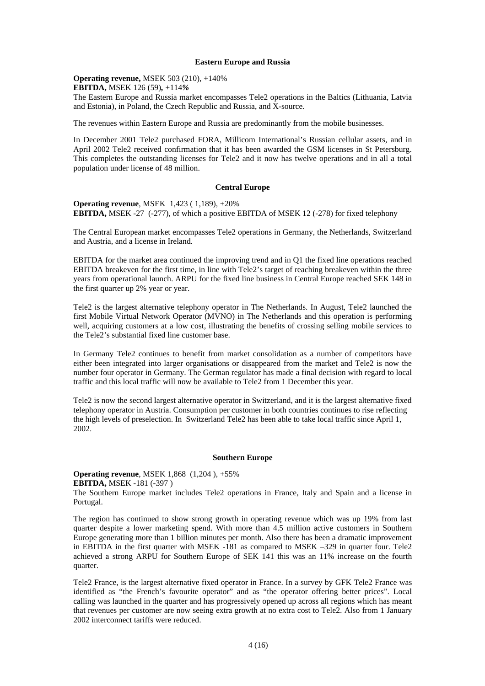### **Eastern Europe and Russia**

**Operating revenue,** MSEK 503 (210), +140%

**EBITDA,** MSEK 126 (59)*,* +114*%*

The Eastern Europe and Russia market encompasses Tele2 operations in the Baltics (Lithuania, Latvia and Estonia), in Poland, the Czech Republic and Russia, and X-source.

The revenues within Eastern Europe and Russia are predominantly from the mobile businesses.

In December 2001 Tele2 purchased FORA, Millicom International's Russian cellular assets, and in April 2002 Tele2 received confirmation that it has been awarded the GSM licenses in St Petersburg. This completes the outstanding licenses for Tele2 and it now has twelve operations and in all a total population under license of 48 million.

## **Central Europe**

**Operating revenue**, MSEK 1,423 ( 1,189), +20% **EBITDA,** MSEK -27 (-277), of which a positive EBITDA of MSEK 12 (-278) for fixed telephony

The Central European market encompasses Tele2 operations in Germany, the Netherlands, Switzerland and Austria, and a license in Ireland.

EBITDA for the market area continued the improving trend and in Q1 the fixed line operations reached EBITDA breakeven for the first time, in line with Tele2's target of reaching breakeven within the three years from operational launch. ARPU for the fixed line business in Central Europe reached SEK 148 in the first quarter up 2% year or year.

Tele2 is the largest alternative telephony operator in The Netherlands. In August, Tele2 launched the first Mobile Virtual Network Operator (MVNO) in The Netherlands and this operation is performing well, acquiring customers at a low cost, illustrating the benefits of crossing selling mobile services to the Tele2's substantial fixed line customer base.

In Germany Tele2 continues to benefit from market consolidation as a number of competitors have either been integrated into larger organisations or disappeared from the market and Tele2 is now the number four operator in Germany. The German regulator has made a final decision with regard to local traffic and this local traffic will now be available to Tele2 from 1 December this year.

Tele2 is now the second largest alternative operator in Switzerland, and it is the largest alternative fixed telephony operator in Austria. Consumption per customer in both countries continues to rise reflecting the high levels of preselection. In Switzerland Tele2 has been able to take local traffic since April 1, 2002.

## **Southern Europe**

**Operating revenue**, MSEK 1,868 (1,204 ), +55% **EBITDA,** MSEK -181 (-397 )

The Southern Europe market includes Tele2 operations in France, Italy and Spain and a license in Portugal.

The region has continued to show strong growth in operating revenue which was up 19% from last quarter despite a lower marketing spend. With more than 4.5 million active customers in Southern Europe generating more than 1 billion minutes per month. Also there has been a dramatic improvement in EBITDA in the first quarter with MSEK -181 as compared to MSEK –329 in quarter four. Tele2 achieved a strong ARPU for Southern Europe of SEK 141 this was an 11% increase on the fourth quarter.

Tele2 France, is the largest alternative fixed operator in France. In a survey by GFK Tele2 France was identified as "the French's favourite operator" and as "the operator offering better prices". Local calling was launched in the quarter and has progressively opened up across all regions which has meant that revenues per customer are now seeing extra growth at no extra cost to Tele2. Also from 1 January 2002 interconnect tariffs were reduced.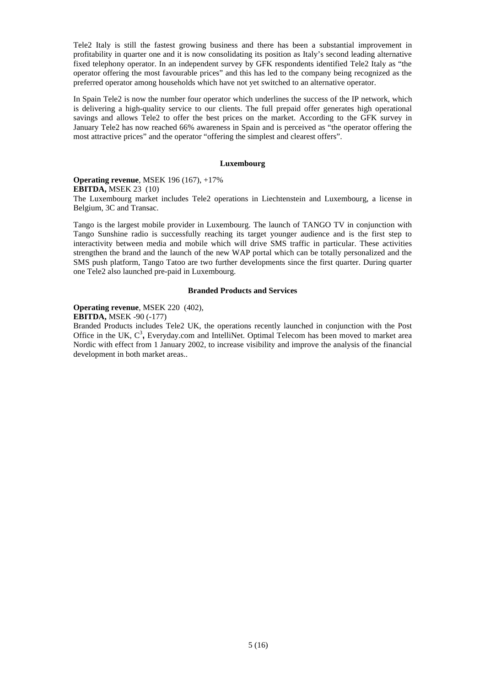Tele2 Italy is still the fastest growing business and there has been a substantial improvement in profitability in quarter one and it is now consolidating its position as Italy's second leading alternative fixed telephony operator. In an independent survey by GFK respondents identified Tele2 Italy as "the operator offering the most favourable prices" and this has led to the company being recognized as the preferred operator among households which have not yet switched to an alternative operator.

In Spain Tele2 is now the number four operator which underlines the success of the IP network, which is delivering a high-quality service to our clients. The full prepaid offer generates high operational savings and allows Tele2 to offer the best prices on the market. According to the GFK survey in January Tele2 has now reached 66% awareness in Spain and is perceived as "the operator offering the most attractive prices" and the operator "offering the simplest and clearest offers".

#### **Luxembourg**

**Operating revenue**, MSEK 196 (167), +17% **EBITDA,** MSEK 23 (10) The Luxembourg market includes Tele2 operations in Liechtenstein and Luxembourg, a license in Belgium, 3C and Transac.

Tango is the largest mobile provider in Luxembourg. The launch of TANGO TV in conjunction with Tango Sunshine radio is successfully reaching its target younger audience and is the first step to interactivity between media and mobile which will drive SMS traffic in particular. These activities strengthen the brand and the launch of the new WAP portal which can be totally personalized and the SMS push platform, Tango Tatoo are two further developments since the first quarter. During quarter one Tele2 also launched pre-paid in Luxembourg.

## **Branded Products and Services**

## **Operating revenue**, MSEK 220 (402),

## **EBITDA,** MSEK -90 (-177)

Branded Products includes Tele2 UK, the operations recently launched in conjunction with the Post Office in the UK, C<sup>3</sup>, Everyday.com and IntelliNet. Optimal Telecom has been moved to market area Nordic with effect from 1 January 2002, to increase visibility and improve the analysis of the financial development in both market areas..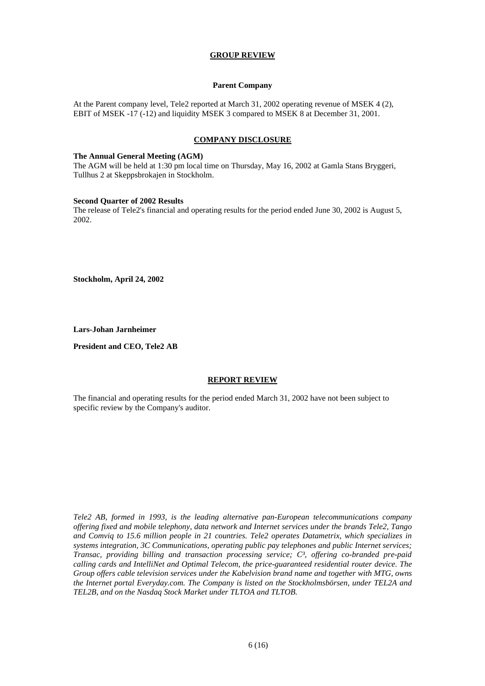## **GROUP REVIEW**

## **Parent Company**

At the Parent company level, Tele2 reported at March 31, 2002 operating revenue of MSEK 4 (2), EBIT of MSEK -17 (-12) and liquidity MSEK 3 compared to MSEK 8 at December 31, 2001.

## **COMPANY DISCLOSURE**

## **The Annual General Meeting (AGM)**

The AGM will be held at 1:30 pm local time on Thursday, May 16, 2002 at Gamla Stans Bryggeri, Tullhus 2 at Skeppsbrokajen in Stockholm.

#### **Second Quarter of 2002 Results**

The release of Tele2's financial and operating results for the period ended June 30, 2002 is August 5, 2002.

**Stockholm, April 24, 2002**

**Lars-Johan Jarnheimer**

**President and CEO, Tele2 AB**

## **REPORT REVIEW**

The financial and operating results for the period ended March 31, 2002 have not been subject to specific review by the Company's auditor.

*Tele2 AB, formed in 1993, is the leading alternative pan-European telecommunications company offering fixed and mobile telephony, data network and Internet services under the brands Tele2, Tango and Comviq to 15.6 million people in 21 countries. Tele2 operates Datametrix, which specializes in systems integration, 3C Communications, operating public pay telephones and public Internet services; Transac, providing billing and transaction processing service; C³, offering co-branded pre-paid calling cards and IntelliNet and Optimal Telecom, the price-guaranteed residential router device. The Group offers cable television services under the Kabelvision brand name and together with MTG, owns the Internet portal Everyday.com. The Company is listed on the Stockholmsbörsen, under TEL2A and TEL2B, and on the Nasdaq Stock Market under TLTOA and TLTOB.*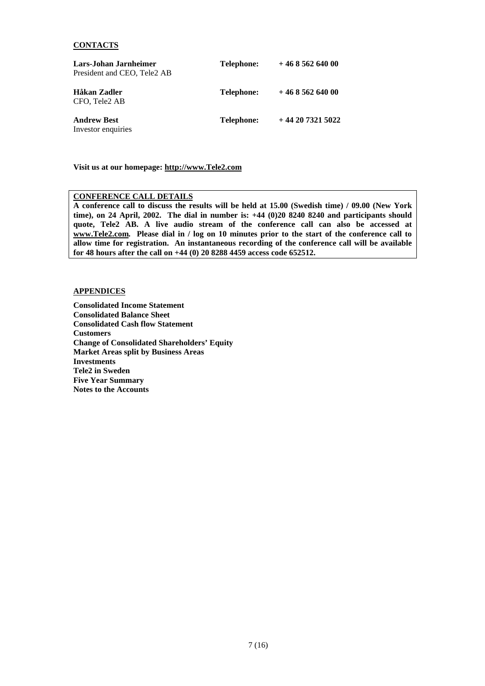## **CONTACTS**

| Lars-Johan Jarnheimer<br>President and CEO, Tele <sub>2</sub> AB | Telephone:        | $+46856264000$  |
|------------------------------------------------------------------|-------------------|-----------------|
| Håkan Zadler<br>CFO, Tele2 AB                                    | <b>Telephone:</b> | $+46856264000$  |
| <b>Andrew Best</b><br>Investor enquiries                         | <b>Telephone:</b> | $+442073215022$ |

**Visit us at our homepage: http://www.Tele2.com**

## **CONFERENCE CALL DETAILS**

**A conference call to discuss the results will be held at 15.00 (Swedish time) / 09.00 (New York time), on 24 April, 2002. The dial in number is: +44 (0)20 8240 8240 and participants should quote, Tele2 AB. A live audio stream of the conference call can also be accessed at www.Tele2.com. Please dial in / log on 10 minutes prior to the start of the conference call to allow time for registration. An instantaneous recording of the conference call will be available for 48 hours after the call on +44 (0) 20 8288 4459 access code 652512.**

## **APPENDICES**

**Consolidated Income Statement Consolidated Balance Sheet Consolidated Cash flow Statement Customers Change of Consolidated Shareholders' Equity Market Areas split by Business Areas Investments Tele2 in Sweden Five Year Summary Notes to the Accounts**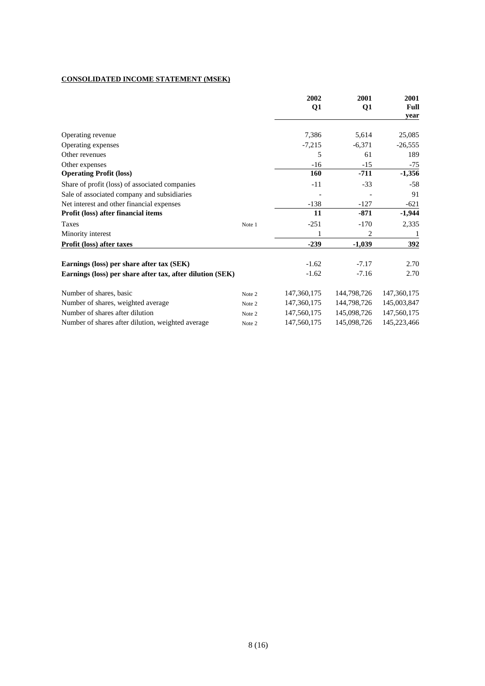## **CONSOLIDATED INCOME STATEMENT (MSEK)**

|                                                           |        | 2002<br>Q1    | 2001<br>Q1  | 2001<br>Full |
|-----------------------------------------------------------|--------|---------------|-------------|--------------|
|                                                           |        |               |             | year         |
| Operating revenue                                         |        | 7,386         | 5,614       | 25,085       |
| Operating expenses                                        |        | $-7,215$      | $-6,371$    | $-26,555$    |
| Other revenues                                            |        | 5             | 61          | 189          |
| Other expenses                                            |        | $-16$         | $-15$       | $-75$        |
| <b>Operating Profit (loss)</b>                            |        | 160           | $-711$      | $-1,356$     |
| Share of profit (loss) of associated companies            |        | $-11$         | $-33$       | $-58$        |
| Sale of associated company and subsidiaries               |        |               |             | 91           |
| Net interest and other financial expenses                 |        | $-138$        | $-127$      | $-621$       |
| Profit (loss) after financial items                       |        | 11            | $-871$      | $-1,944$     |
| Taxes                                                     | Note 1 | $-251$        | $-170$      | 2,335        |
| Minority interest                                         |        | 1             | 2           |              |
| Profit (loss) after taxes                                 |        | $-239$        | $-1,039$    | 392          |
| Earnings (loss) per share after tax (SEK)                 |        | $-1.62$       | $-7.17$     | 2.70         |
| Earnings (loss) per share after tax, after dilution (SEK) |        | $-1.62$       | $-7.16$     | 2.70         |
| Number of shares, basic                                   | Note 2 | 147, 360, 175 | 144,798,726 | 147,360,175  |
| Number of shares, weighted average                        | Note 2 | 147,360,175   | 144,798,726 | 145,003,847  |
| Number of shares after dilution                           | Note 2 | 147,560,175   | 145,098,726 | 147,560,175  |
| Number of shares after dilution, weighted average         | Note 2 | 147,560,175   | 145,098,726 | 145,223,466  |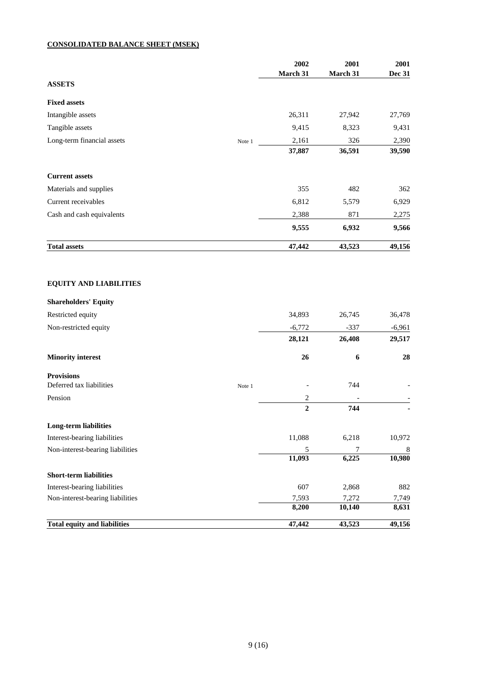## **CONSOLIDATED BALANCE SHEET (MSEK)**

|                                     |        | 2002<br>March 31  | 2001<br>March 31 | 2001<br><b>Dec 31</b> |
|-------------------------------------|--------|-------------------|------------------|-----------------------|
| <b>ASSETS</b>                       |        |                   |                  |                       |
| <b>Fixed assets</b>                 |        |                   |                  |                       |
| Intangible assets                   |        | 26,311            | 27,942           | 27,769                |
| Tangible assets                     |        | 9,415             | 8,323            | 9,431                 |
| Long-term financial assets          | Note 1 | 2,161             | 326              | 2,390                 |
|                                     |        | 37,887            | 36,591           | 39,590                |
| <b>Current assets</b>               |        |                   |                  |                       |
| Materials and supplies              |        | 355               | 482              | 362                   |
| Current receivables                 |        | 6,812             | 5,579            | 6,929                 |
| Cash and cash equivalents           |        | 2,388             | 871              | 2,275                 |
|                                     |        | 9,555             | 6,932            | 9,566                 |
| <b>Total assets</b>                 |        | 47,442            | 43,523           | 49,156                |
| <b>EQUITY AND LIABILITIES</b>       |        |                   |                  |                       |
| <b>Shareholders' Equity</b>         |        |                   |                  |                       |
| Restricted equity                   |        | 34,893            | 26,745           | 36,478                |
| Non-restricted equity               |        | $-6,772$          | $-337$           | $-6,961$              |
|                                     |        | 28,121            | 26,408           | 29,517                |
| <b>Minority interest</b>            |        | 26                | 6                | 28                    |
| <b>Provisions</b>                   |        |                   |                  |                       |
| Deferred tax liabilities            | Note 1 |                   | 744              |                       |
| Pension                             |        | 2<br>$\mathbf{2}$ | 744              |                       |
| <b>Long-term liabilities</b>        |        |                   |                  |                       |
| Interest-bearing liabilities        |        | 11,088            | 6,218            | 10,972                |
| Non-interest-bearing liabilities    |        | 5                 | 7                | 8                     |
|                                     |        | 11,093            | 6,225            | 10,980                |
| <b>Short-term liabilities</b>       |        |                   |                  |                       |
| Interest-bearing liabilities        |        | 607               | 2,868            | 882                   |
| Non-interest-bearing liabilities    |        | 7,593             | 7,272<br>10,140  | 7,749<br>8,631        |
| <b>Total equity and liabilities</b> |        | 8,200<br>47,442   | 43,523           | 49,156                |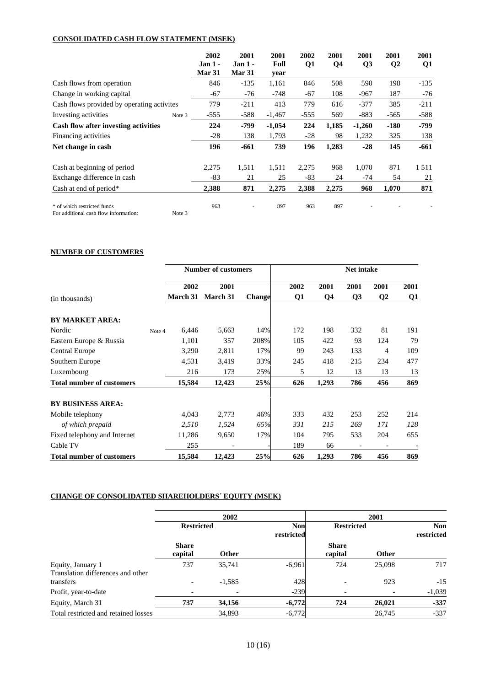## **CONSOLIDATED CASH FLOW STATEMENT (MSEK)**

|                                                                                | 2002<br>Jan <sub>1</sub><br>Mar 31 | 2001<br><b>Jan 1 -</b><br>Mar 31 | 2001<br>Full<br>year | 2002<br>Q <sub>1</sub> | 2001<br>Q4 | 2001<br>Q <sub>3</sub> | 2001<br>$\mathbf{Q}2$ | 2001<br>Q1 |
|--------------------------------------------------------------------------------|------------------------------------|----------------------------------|----------------------|------------------------|------------|------------------------|-----------------------|------------|
| Cash flows from operation                                                      | 846                                | $-135$                           | 1,161                | 846                    | 508        | 590                    | 198                   | $-135$     |
| Change in working capital                                                      | $-67$                              | $-76$                            | $-748$               | $-67$                  | 108        | $-967$                 | 187                   | $-76$      |
| Cash flows provided by operating activites                                     | 779                                | $-211$                           | 413                  | 779                    | 616        | $-377$                 | 385                   | $-211$     |
| Investing activities<br>Note 3                                                 | $-555$                             | $-588$                           | $-1,467$             | $-555$                 | 569        | $-883$                 | $-565$                | $-588$     |
| Cash flow after investing activities                                           | 224                                | -799                             | $-1,054$             | 224                    | 1,185      | $-1,260$               | $-180$                | -799       |
| Financing activities                                                           | $-28$                              | 138                              | 1,793                | $-28$                  | 98         | 1,232                  | 325                   | 138        |
| Net change in cash                                                             | 196                                | -661                             | 739                  | 196                    | 1,283      | $-28$                  | 145                   | -661       |
| Cash at beginning of period                                                    | 2,275                              | 1,511                            | 1,511                | 2,275                  | 968        | 1,070                  | 871                   | 1511       |
| Exchange difference in cash                                                    | $-83$                              | 21                               | 25                   | $-83$                  | 24         | $-74$                  | 54                    | 21         |
| Cash at end of period*                                                         | 2,388                              | 871                              | 2,275                | 2,388                  | 2,275      | 968                    | 1,070                 | 871        |
| * of which restricted funds<br>Note 3<br>For additional cash flow information: | 963                                |                                  | 897                  | 963                    | 897        |                        |                       |            |

## **NUMBER OF CUSTOMERS**

|                                  |        |                 | <b>Number of customers</b> | Net intake    |      |       |      |          |      |
|----------------------------------|--------|-----------------|----------------------------|---------------|------|-------|------|----------|------|
|                                  |        | 2002            | 2001                       |               | 2002 | 2001  | 2001 | 2001     | 2001 |
| (in thousands)                   |        | <b>March 31</b> | <b>March 31</b>            | <b>Change</b> | Q1   | Q4    | Q3   | $\bf Q2$ | Q1   |
| <b>BY MARKET AREA:</b>           |        |                 |                            |               |      |       |      |          |      |
| Nordic                           | Note 4 | 6,446           | 5,663                      | 14%           | 172  | 198   | 332  | 81       | 191  |
| Eastern Europe & Russia          |        | 1,101           | 357                        | 208%          | 105  | 422   | 93   | 124      | 79   |
| Central Europe                   |        | 3,290           | 2,811                      | 17%           | 99   | 243   | 133  | 4        | 109  |
| Southern Europe                  |        | 4,531           | 3,419                      | 33%           | 245  | 418   | 215  | 234      | 477  |
| Luxembourg                       |        | 216             | 173                        | 25%           | 5    | 12    | 13   | 13       | 13   |
| <b>Total number of customers</b> |        | 15,584          | 12,423                     | 25%           | 626  | 1,293 | 786  | 456      | 869  |
| <b>BY BUSINESS AREA:</b>         |        |                 |                            |               |      |       |      |          |      |
| Mobile telephony                 |        | 4,043           | 2,773                      | 46%           | 333  | 432   | 253  | 252      | 214  |
| of which prepaid                 |        | 2,510           | 1,524                      | 65%           | 331  | 215   | 269  | 171      | 128  |
| Fixed telephony and Internet     |        | 11,286          | 9,650                      | 17%           | 104  | 795   | 533  | 204      | 655  |
| Cable TV                         |        | 255             |                            |               | 189  | 66    |      |          |      |
| <b>Total number of customers</b> |        | 15,584          | 12,423                     | 25%           | 626  | 1,293 | 786  | 456      | 869  |

## **CHANGE OF CONSOLIDATED SHAREHOLDERS´ EQUITY (MSEK)**

|                                                |                         | 2002              |                          | 2001                    |        |                          |  |
|------------------------------------------------|-------------------------|-------------------|--------------------------|-------------------------|--------|--------------------------|--|
|                                                |                         | <b>Restricted</b> | <b>Non</b><br>restricted | <b>Restricted</b>       |        | <b>Non</b><br>restricted |  |
|                                                | <b>Share</b><br>capital | Other             |                          | <b>Share</b><br>capital | Other  |                          |  |
| Equity, January 1                              | 737                     | 35,741            | $-6,961$                 | 724                     | 25,098 | 717                      |  |
| Translation differences and other<br>transfers |                         | $-1,585$          | 428                      |                         | 923    | $-15$                    |  |
| Profit, year-to-date                           |                         |                   | $-239$                   |                         |        | $-1,039$                 |  |
| Equity, March 31                               | 737                     | 34,156            | $-6,772$                 | 724                     | 26,021 | $-337$                   |  |
| Total restricted and retained losses           |                         | 34,893            | $-6,772$                 |                         | 26,745 | $-337$                   |  |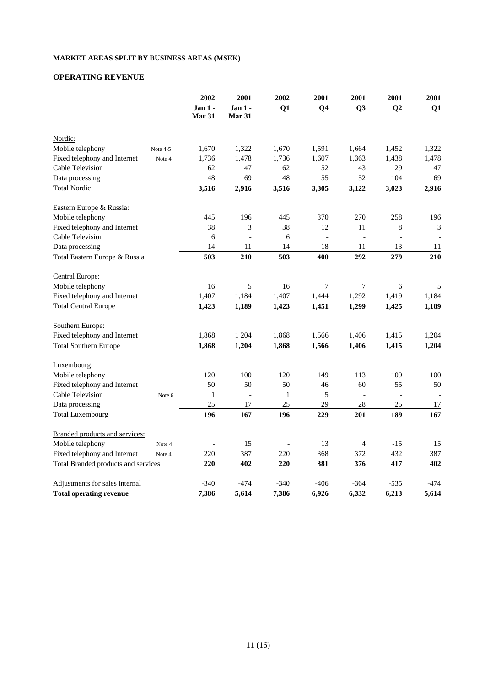## **MARKET AREAS SPLIT BY BUSINESS AREAS (MSEK)**

# **OPERATING REVENUE**

|                                     |          | 2002<br>Jan 1 -<br><b>Mar 31</b> | 2001<br>Jan $1 -$<br><b>Mar 31</b> | 2002<br>Q1   | 2001<br>Q <sub>4</sub> | 2001<br>Q <sub>3</sub> | 2001<br>Q2     | 2001<br>Q1 |
|-------------------------------------|----------|----------------------------------|------------------------------------|--------------|------------------------|------------------------|----------------|------------|
| Nordic:                             |          |                                  |                                    |              |                        |                        |                |            |
| Mobile telephony                    | Note 4-5 | 1,670                            | 1,322                              | 1,670        | 1,591                  | 1,664                  | 1,452          | 1,322      |
| Fixed telephony and Internet        | Note 4   | 1,736                            | 1,478                              | 1,736        | 1,607                  | 1,363                  | 1,438          | 1,478      |
| Cable Television                    |          | 62                               | 47                                 | 62           | 52                     | 43                     | 29             | 47         |
| Data processing                     |          | 48                               | 69                                 | 48           | 55                     | 52                     | 104            | 69         |
| <b>Total Nordic</b>                 |          | 3,516                            | 2,916                              | 3,516        | 3,305                  | 3,122                  | 3,023          | 2,916      |
| Eastern Europe & Russia:            |          |                                  |                                    |              |                        |                        |                |            |
| Mobile telephony                    |          | 445                              | 196                                | 445          | 370                    | 270                    | 258            | 196        |
| Fixed telephony and Internet        |          | 38                               | 3                                  | 38           | 12                     | 11                     | $\,8\,$        | 3          |
| Cable Television                    |          | 6                                |                                    | 6            | $\overline{a}$         |                        |                |            |
| Data processing                     |          | 14                               | 11                                 | 14           | 18                     | 11                     | 13             | 11         |
| Total Eastern Europe & Russia       |          | 503                              | 210                                | 503          | 400                    | 292                    | 279            | 210        |
| Central Europe:                     |          |                                  |                                    |              |                        |                        |                |            |
| Mobile telephony                    |          | 16                               | 5                                  | 16           | $\tau$                 | 7                      | 6              | 5          |
| Fixed telephony and Internet        |          | 1,407                            | 1,184                              | 1,407        | 1,444                  | 1,292                  | 1,419          | 1,184      |
| <b>Total Central Europe</b>         |          | 1,423                            | 1,189                              | 1,423        | 1,451                  | 1,299                  | 1,425          | 1,189      |
| Southern Europe:                    |          |                                  |                                    |              |                        |                        |                |            |
| Fixed telephony and Internet        |          | 1,868                            | 1 204                              | 1,868        | 1,566                  | 1,406                  | 1,415          | 1,204      |
| <b>Total Southern Europe</b>        |          | 1,868                            | 1,204                              | 1,868        | 1,566                  | 1,406                  | 1,415          | 1,204      |
| Luxembourg:                         |          |                                  |                                    |              |                        |                        |                |            |
| Mobile telephony                    |          | 120                              | 100                                | 120          | 149                    | 113                    | 109            | 100        |
| Fixed telephony and Internet        |          | 50                               | 50                                 | 50           | 46                     | 60                     | 55             | 50         |
| Cable Television                    | Note 6   | $\mathbf{1}$                     |                                    | $\mathbf{1}$ | 5                      |                        | $\blacksquare$ |            |
| Data processing                     |          | 25                               | $17\,$                             | 25           | 29                     | 28                     | 25             | 17         |
| <b>Total Luxembourg</b>             |          | 196                              | 167                                | 196          | 229                    | 201                    | 189            | 167        |
| Branded products and services:      |          |                                  |                                    |              |                        |                        |                |            |
| Mobile telephony                    | Note 4   |                                  | 15                                 |              | 13                     | $\overline{4}$         | $-15$          | 15         |
| Fixed telephony and Internet        | Note 4   | 220                              | 387                                | 220          | 368                    | 372                    | 432            | 387        |
| Total Branded products and services |          | 220                              | 402                                | 220          | 381                    | 376                    | 417            | 402        |
| Adjustments for sales internal      |          | $-340$                           | $-474$                             | $-340$       | $-406$                 | $-364$                 | $-535$         | -474       |
| <b>Total operating revenue</b>      |          | 7,386                            | 5,614                              | 7,386        | 6,926                  | 6,332                  | 6,213          | 5,614      |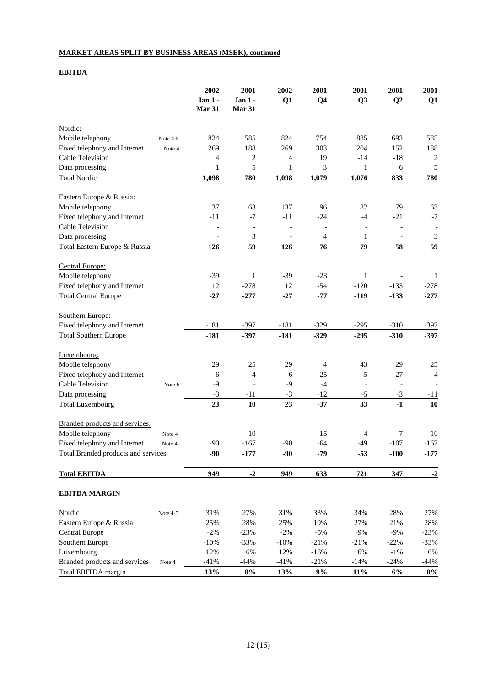## **MARKET AREAS SPLIT BY BUSINESS AREAS (MSEK), continued**

## **EBITDA**

|                                     |          | 2002              | 2001                     | 2002           | 2001            | 2001           | 2001                     | 2001                     |
|-------------------------------------|----------|-------------------|--------------------------|----------------|-----------------|----------------|--------------------------|--------------------------|
|                                     |          | Jan 1 -<br>Mar 31 | Jan $1 -$<br>Mar 31      | Q1             | Q <sub>4</sub>  | Q <sub>3</sub> | Q2                       | Q1                       |
|                                     |          |                   |                          |                |                 |                |                          |                          |
| Nordic:                             |          |                   |                          |                |                 |                |                          |                          |
| Mobile telephony                    | Note 4-5 | 824               | 585                      | 824            | 754             | 885            | 693                      | 585                      |
| Fixed telephony and Internet        | Note 4   | 269               | 188                      | 269            | 303             | 204            | 152                      | 188                      |
| Cable Television                    |          | 4                 | $\boldsymbol{2}$         | 4              | 19              | $-14$          | $-18$                    | $\sqrt{2}$               |
| Data processing                     |          | 1                 | 5                        | $\mathbf{1}$   | 3               | $\mathbf{1}$   | 6                        | 5                        |
| <b>Total Nordic</b>                 |          | 1,098             | 780                      | 1,098          | 1,079           | 1,076          | 833                      | 780                      |
| Eastern Europe & Russia:            |          |                   |                          |                |                 |                |                          |                          |
| Mobile telephony                    |          | 137               | 63                       | 137            | 96              | 82             | 79                       | 63                       |
| Fixed telephony and Internet        |          | $-11$             | $-7$                     | $-11$          | $-24$           | $-4$           | $-21$                    | $-7$                     |
| Cable Television                    |          |                   | $\overline{\phantom{a}}$ | $\overline{a}$ |                 |                | $\overline{\phantom{a}}$ | $\overline{\phantom{a}}$ |
| Data processing                     |          | $\blacksquare$    | $\mathfrak{Z}$           |                | $\overline{4}$  | 1              | $\overline{\phantom{a}}$ | $\overline{\mathbf{3}}$  |
| Total Eastern Europe & Russia       |          | 126               | 59                       | 126            | 76              | 79             | 58                       | 59                       |
| Central Europe:                     |          |                   |                          |                |                 |                |                          |                          |
| Mobile telephony                    |          | $-39$             | $\mathbf{1}$             | $-39$          | $-23$           | $\mathbf{1}$   |                          | 1                        |
| Fixed telephony and Internet        |          | 12                | $-278$                   | 12             | $-54$           | $-120$         | $-133$                   | $-278$                   |
| <b>Total Central Europe</b>         |          | $-27$             | $-277$                   | $-27$          | $-77$           | $-119$         | $-133$                   | $-277$                   |
| Southern Europe:                    |          |                   |                          |                |                 |                |                          |                          |
| Fixed telephony and Internet        |          | $-181$            | $-397$                   | $-181$         | $-329$          | $-295$         | $-310$                   | $-397$                   |
| <b>Total Southern Europe</b>        |          | $-181$            | $-397$                   | $-181$         | $-329$          | $-295$         | $-310$                   | $-397$                   |
| Luxembourg:                         |          |                   |                          |                |                 |                |                          |                          |
| Mobile telephony                    |          | 29                | 25                       | 29             | $\overline{4}$  | 43             | 29                       | 25                       |
| Fixed telephony and Internet        |          | 6                 | $-4$                     | 6              | $-25$           | $-5$           | $-27$                    | $-4$                     |
| <b>Cable Television</b>             | Note 6   | $-9$              |                          | $-9$           | $-4$            |                | $\overline{\phantom{a}}$ |                          |
| Data processing                     |          | $-3$              | $-11$                    | $-3$           | $-12$           | $-5$           | $-3$                     | $-11$                    |
| <b>Total Luxembourg</b>             |          | 23                | 10                       | 23             | $-37$           | 33             | $-1$                     | 10                       |
| Branded products and services:      |          |                   |                          |                |                 |                |                          |                          |
| Mobile telephony                    | Note 4   |                   | $-10$                    |                | $-15$           | $-4$           | 7                        | $-10$                    |
| Fixed telephony and Internet        | Note 4   | $-90$             | $-167$                   | $-90$          | $-64$           | $-49$          | $-107$                   | $-167$                   |
| Total Branded products and services |          | $-90$             | $-177$                   | $-90$          | $-79$           | $-53$          | $-100$                   | $-177$                   |
| <b>Total EBITDA</b>                 |          | 949               | $-2$                     | 949            | 633             | 721            | 347                      | $-2$                     |
| <b>EBITDA MARGIN</b>                |          |                   |                          |                |                 |                |                          |                          |
|                                     |          |                   |                          |                |                 |                |                          |                          |
| Nordic                              | Note 4-5 | 31%               | 27%                      | 31%            | 33%             | 34%            | 28%                      | 27%                      |
| Eastern Europe & Russia             |          | 25%               | 28%                      | 25%            | 19%             | 27%            | 21%                      | 28%                      |
| Central Europe                      |          | $-2%$             | $-23%$                   | $-2%$          | $-5%$           | $-9%$          | $-9%$                    | $-23%$                   |
| Southern Europe                     |          | $-10%$            | $-33%$                   | $-10%$         | $-21%$          | $-21%$         | $-22%$                   | $-33%$                   |
| Luxembourg                          |          | 12%               | 6%                       | 12%            | $-16%$          | 16%            | $-1\%$                   | 6%                       |
| Branded products and services       | Note 4   | $-41%$            | $-44%$                   | $-41%$         | $-21%$<br>$9\%$ | $-14%$         | $-24%$                   | $-44%$                   |
| Total EBITDA margin                 |          | 13%               | $0\%$                    | 13%            |                 | $11\%$         | $6\%$                    | $0\%$                    |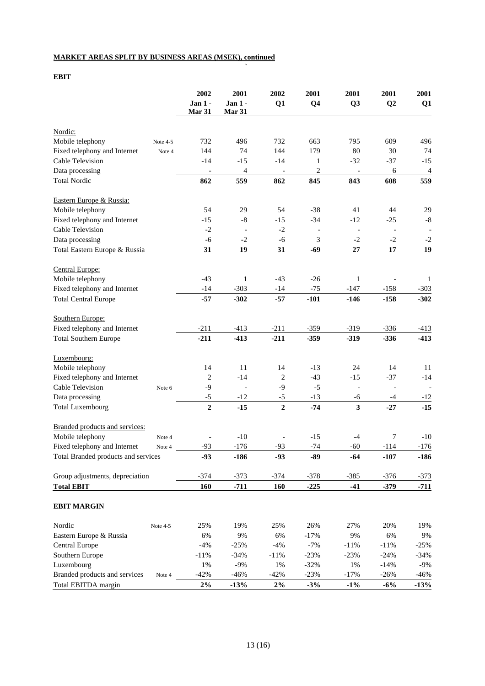## **MARKET AREAS SPLIT BY BUSINESS AREAS (MSEK), continued**

**EBIT**

|                                     |          | 2002           | 2001                     | 2002                     | 2001           | 2001                     | 2001                     | 2001           |
|-------------------------------------|----------|----------------|--------------------------|--------------------------|----------------|--------------------------|--------------------------|----------------|
|                                     |          | Jan 1 -        | <b>Jan 1 -</b>           | Q1                       | Q <sub>4</sub> | Q <sub>3</sub>           | Q2                       | Q1             |
|                                     |          | Mar 31         | <b>Mar 31</b>            |                          |                |                          |                          |                |
| Nordic:                             |          |                |                          |                          |                |                          |                          |                |
| Mobile telephony                    | Note 4-5 | 732            | 496                      | 732                      | 663            | 795                      | 609                      | 496            |
| Fixed telephony and Internet        | Note 4   | 144            | 74                       | 144                      | 179            | 80                       | 30                       | 74             |
| Cable Television                    |          | $-14$          | $-15$                    | $-14$                    | $\mathbf{1}$   | $-32$                    | $-37$                    | $-15$          |
| Data processing                     |          |                | $\overline{4}$           | $\overline{\phantom{a}}$ | $\sqrt{2}$     |                          | 6                        | $\overline{4}$ |
| <b>Total Nordic</b>                 |          | 862            | 559                      | 862                      | 845            | 843                      | 608                      | 559            |
| Eastern Europe & Russia:            |          |                |                          |                          |                |                          |                          |                |
| Mobile telephony                    |          | 54             | 29                       | 54                       | $-38$          | 41                       | 44                       | 29             |
| Fixed telephony and Internet        |          | $-15$          | $-8$                     | $-15$                    | $-34$          | $-12$                    |                          | $\text{-}8$    |
|                                     |          |                |                          |                          |                |                          | $-25$                    |                |
| Cable Television                    |          | $-2$           |                          | $-2$                     |                | $\overline{\phantom{a}}$ | $\overline{\phantom{a}}$ |                |
| Data processing                     |          | $-6$           | $-2$                     | $-6$                     | 3              | $-2$                     | $-2$                     | $-2$           |
| Total Eastern Europe & Russia       |          | 31             | 19                       | 31                       | $-69$          | 27                       | 17                       | 19             |
| Central Europe:                     |          |                |                          |                          |                |                          |                          |                |
| Mobile telephony                    |          | $-43$          | 1                        | $-43$                    | $-26$          | 1                        |                          | 1              |
| Fixed telephony and Internet        |          | $-14$          | $-303$                   | $-14$                    | $-75$          | $-147$                   | $-158$                   | $-303$         |
| <b>Total Central Europe</b>         |          | $-57$          | $-302$                   | $-57$                    | $-101$         | $-146$                   | $-158$                   | $-302$         |
| Southern Europe:                    |          |                |                          |                          |                |                          |                          |                |
| Fixed telephony and Internet        |          | $-211$         | $-413$                   | $-211$                   | $-359$         | $-319$                   | $-336$                   | $-413$         |
| <b>Total Southern Europe</b>        |          | $-211$         | $-413$                   | $-211$                   | $-359$         | $-319$                   | $-336$                   | $-413$         |
| Luxembourg:                         |          |                |                          |                          |                |                          |                          |                |
| Mobile telephony                    |          | 14             | 11                       | 14                       | $-13$          | 24                       | 14                       | 11             |
| Fixed telephony and Internet        |          | $\overline{2}$ | $-14$                    | $\sqrt{2}$               | $-43$          | $-15$                    | $-37$                    | $-14$          |
| Cable Television                    | Note 6   | $-9$           | $\overline{\phantom{a}}$ | $-9$                     | $-5$           | $\overline{\phantom{a}}$ | $\overline{\phantom{a}}$ |                |
| Data processing                     |          | $-5$           | $-12$                    | $-5$                     | $-13$          | $-6$                     | $-4$                     | $-12$          |
| <b>Total Luxembourg</b>             |          | $\overline{2}$ | $-15$                    | $\overline{2}$           | $-74$          | $\mathbf{3}$             | $-27$                    | $-15$          |
|                                     |          |                |                          |                          |                |                          |                          |                |
| Branded products and services:      |          |                |                          |                          |                |                          |                          |                |
| Mobile telephony                    | Note 4   |                | $-10$                    |                          | $-15$          | $-4$                     | 7                        | $-10$          |
| Fixed telephony and Internet        | Note 4   | -93            | $-176$                   | $-93$                    | $-74$          | $-60$                    | $-114$                   | $-176$         |
| Total Branded products and services |          | $-93$          | $-186$                   | $-93$                    | $-89$          | $-64$                    | $-107$                   | $-186$         |
| Group adjustments, depreciation     |          | $-374$         | $-373$                   | $-374$                   | $-378$         | $-385$                   | $-376$                   | $-373$         |
| <b>Total EBIT</b>                   |          | 160            | $-711$                   | <b>160</b>               | $-225$         | $-41$                    | $-379$                   | $-711$         |
| <b>EBIT MARGIN</b>                  |          |                |                          |                          |                |                          |                          |                |
| Nordic                              | Note 4-5 | 25%            | 19%                      | 25%                      | 26%            | 27%                      | 20%                      | 19%            |
| Eastern Europe & Russia             |          | 6%             | 9%                       | 6%                       | $-17%$         | 9%                       | 6%                       | $9\%$          |
| Central Europe                      |          | $-4%$          | $-25%$                   | $-4%$                    | $-7%$          | $-11%$                   | $-11%$                   | $-25%$         |
| Southern Europe                     |          | $-11%$         | $-34%$                   | $-11%$                   | $-23%$         | $-23%$                   | $-24%$                   | $-34%$         |
| Luxembourg                          |          | 1%             | $-9%$                    | 1%                       | $-32%$         | $1\%$                    | $-14%$                   | $-9%$          |
| Branded products and services       | Note 4   | $-42%$         | $-46%$                   | $-42%$                   | $-23%$         | $-17%$                   | $-26%$                   | $-46%$         |
| Total EBITDA margin                 |          | $2\%$          | $-13%$                   | $2\%$                    | $-3%$          | $-1\%$                   | $-6\%$                   | $-13%$         |

`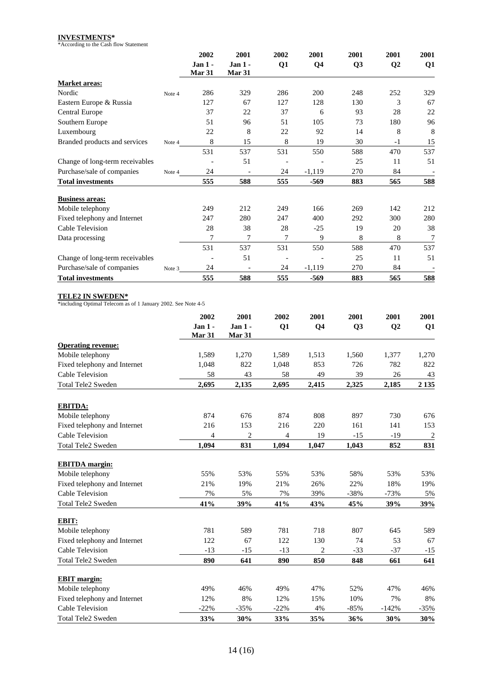**INVESTMENTS\*** \*According to the Cash flow Statement

|                                 |        | 2002     | 2001                     | 2002 | 2001           | 2001           | 2001           | 2001           |
|---------------------------------|--------|----------|--------------------------|------|----------------|----------------|----------------|----------------|
|                                 |        | $Jan1$ . | $Jan 1 -$                | Q1   | Q <sub>4</sub> | Q <sub>3</sub> | Q <sub>2</sub> | Q <sub>1</sub> |
|                                 |        | Mar 31   | Mar 31                   |      |                |                |                |                |
| <b>Market areas:</b>            |        |          |                          |      |                |                |                |                |
| Nordic                          | Note 4 | 286      | 329                      | 286  | 200            | 248            | 252            | 329            |
| Eastern Europe & Russia         |        | 127      | 67                       | 127  | 128            | 130            | 3              | 67             |
| Central Europe                  |        | 37       | 22                       | 37   | 6              | 93             | 28             | 22             |
| Southern Europe                 |        | 51       | 96                       | 51   | 105            | 73             | 180            | 96             |
| Luxembourg                      |        | 22       | 8                        | 22   | 92             | 14             | 8              | 8              |
| Branded products and services   | Note 4 | 8        | 15                       | 8    | 19             | 30             | $-1$           | 15             |
|                                 |        | 531      | 537                      | 531  | 550            | 588            | 470            | 537            |
| Change of long-term receivables |        |          | 51                       |      |                | 25             | 11             | 51             |
| Purchase/sale of companies      | Note 4 | 24       |                          | 24   | $-1,119$       | 270            | 84             |                |
| <b>Total investments</b>        |        | 555      | 588                      | 555  | $-569$         | 883            | 565            | 588            |
| <b>Business areas:</b>          |        |          |                          |      |                |                |                |                |
| Mobile telephony                |        | 249      | 212                      | 249  | 166            | 269            | 142            | 212            |
| Fixed telephony and Internet    |        | 247      | 280                      | 247  | 400            | 292            | 300            | 280            |
| Cable Television                |        | 28       | 38                       | 28   | $-25$          | 19             | 20             | 38             |
| Data processing                 |        | 7        | 7                        | 7    | 9              | 8              | 8              | 7              |
|                                 |        | 531      | 537                      | 531  | 550            | 588            | 470            | 537            |
| Change of long-term receivables |        |          | 51                       |      |                | 25             | 11             | 51             |
| Purchase/sale of companies      | Note 3 | 24       | $\overline{\phantom{a}}$ | 24   | $-1,119$       | 270            | 84             |                |
| <b>Total investments</b>        |        | 555      | 588                      | 555  | $-569$         | 883            | 565            | 588            |

**TELE2 IN SWEDEN\*** \*including Optimal Telecom as of 1 January 2002. See Note 4-5

|                              | 2002<br>$Jan 1 -$<br>Mar 31 | 2001<br>$Jan 1 -$<br><b>Mar 31</b> | 2002<br>Q1 | 2001<br>Q <sub>4</sub> | 2001<br>Q <sub>3</sub> | 2001<br>Q <sub>2</sub> | 2001<br>Q1     |
|------------------------------|-----------------------------|------------------------------------|------------|------------------------|------------------------|------------------------|----------------|
|                              |                             |                                    |            |                        |                        |                        |                |
| <b>Operating revenue:</b>    |                             |                                    |            |                        |                        |                        |                |
| Mobile telephony             | 1,589                       | 1,270                              | 1,589      | 1,513                  | 1,560                  | 1,377                  | 1,270          |
| Fixed telephony and Internet | 1,048                       | 822                                | 1,048      | 853                    | 726                    | 782                    | 822            |
| Cable Television             | 58                          | 43                                 | 58         | 49                     | 39                     | 26                     | 43             |
| <b>Total Tele2 Sweden</b>    | 2,695                       | 2,135                              | 2,695      | 2,415                  | 2,325                  | 2,185                  | 2 1 3 5        |
| <b>EBITDA:</b>               |                             |                                    |            |                        |                        |                        |                |
| Mobile telephony             | 874                         | 676                                | 874        | 808                    | 897                    | 730                    | 676            |
| Fixed telephony and Internet | 216                         | 153                                | 216        | 220                    | 161                    | 141                    | 153            |
| Cable Television             | 4                           | 2                                  | 4          | 19                     | $-15$                  | $-19$                  | $\overline{2}$ |
| <b>Total Tele2 Sweden</b>    | 1,094                       | 831                                | 1,094      | 1,047                  | 1,043                  | 852                    | 831            |
| <b>EBITDA</b> margin:        |                             |                                    |            |                        |                        |                        |                |
| Mobile telephony             | 55%                         | 53%                                | 55%        | 53%                    | 58%                    | 53%                    | 53%            |
| Fixed telephony and Internet | 21%                         | 19%                                | 21%        | 26%                    | 22%                    | 18%                    | 19%            |
| Cable Television             | 7%                          | 5%                                 | 7%         | 39%                    | $-38%$                 | $-73%$                 | 5%             |
| <b>Total Tele2 Sweden</b>    | 41%                         | 39%                                | 41%        | 43%                    | 45%                    | 39%                    | 39%            |
| EBIT:                        |                             |                                    |            |                        |                        |                        |                |
| Mobile telephony             | 781                         | 589                                | 781        | 718                    | 807                    | 645                    | 589            |
| Fixed telephony and Internet | 122                         | 67                                 | 122        | 130                    | 74                     | 53                     | 67             |
| Cable Television             | $-13$                       | $-15$                              | $-13$      | $\overline{2}$         | $-33$                  | $-37$                  | $-15$          |
| <b>Total Tele2 Sweden</b>    | 890                         | 641                                | 890        | 850                    | 848                    | 661                    | 641            |
| <b>EBIT</b> margin:          |                             |                                    |            |                        |                        |                        |                |
| Mobile telephony             | 49%                         | 46%                                | 49%        | 47%                    | 52%                    | 47%                    | 46%            |
| Fixed telephony and Internet | 12%                         | 8%                                 | 12%        | 15%                    | 10%                    | 7%                     | 8%             |
| Cable Television             | $-22%$                      | $-35%$                             | $-22%$     | 4%                     | $-85%$                 | $-142%$                | $-35%$         |
| <b>Total Tele2 Sweden</b>    | 33%                         | 30%                                | 33%        | 35%                    | 36%                    | 30%                    | 30%            |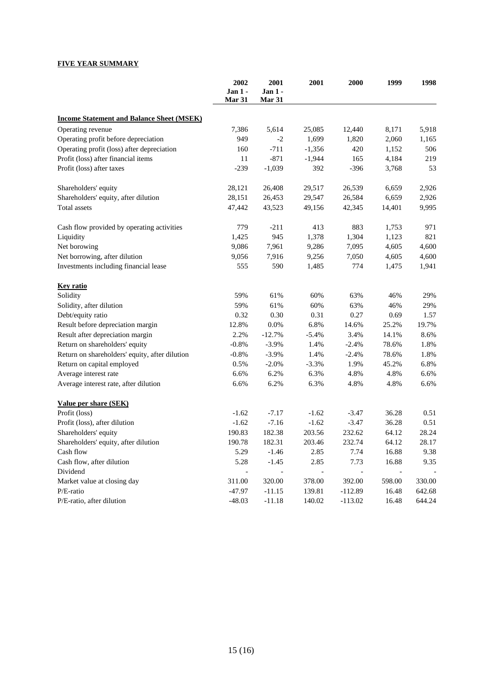## **FIVE YEAR SUMMARY**

|                                                  | 2002<br>Jan 1 -<br>Mar 31 | 2001<br>Jan $1$ -<br>Mar 31 | 2001     | 2000      | 1999   | 1998   |
|--------------------------------------------------|---------------------------|-----------------------------|----------|-----------|--------|--------|
| <b>Income Statement and Balance Sheet (MSEK)</b> |                           |                             |          |           |        |        |
| Operating revenue                                | 7,386                     | 5,614                       | 25,085   | 12,440    | 8,171  | 5,918  |
| Operating profit before depreciation             | 949                       | -2                          | 1,699    | 1,820     | 2,060  | 1,165  |
| Operating profit (loss) after depreciation       | 160                       | $-711$                      | $-1,356$ | 420       | 1,152  | 506    |
| Profit (loss) after financial items              | 11                        | $-871$                      | $-1,944$ | 165       | 4,184  | 219    |
| Profit (loss) after taxes                        | $-239$                    | $-1,039$                    | 392      | $-396$    | 3,768  | 53     |
| Shareholders' equity                             | 28,121                    | 26,408                      | 29,517   | 26,539    | 6,659  | 2,926  |
| Shareholders' equity, after dilution             | 28,151                    | 26,453                      | 29,547   | 26,584    | 6,659  | 2,926  |
| Total assets                                     | 47,442                    | 43,523                      | 49,156   | 42,345    | 14,401 | 9,995  |
| Cash flow provided by operating activities       | 779                       | $-211$                      | 413      | 883       | 1,753  | 971    |
| Liquidity                                        | 1,425                     | 945                         | 1,378    | 1,304     | 1,123  | 821    |
| Net borowing                                     | 9,086                     | 7,961                       | 9,286    | 7,095     | 4,605  | 4,600  |
| Net borrowing, after dilution                    | 9,056                     | 7,916                       | 9,256    | 7,050     | 4,605  | 4,600  |
| Investments including financial lease            | 555                       | 590                         | 1,485    | 774       | 1,475  | 1,941  |
| <b>Key ratio</b>                                 |                           |                             |          |           |        |        |
| Solidity                                         | 59%                       | 61%                         | 60%      | 63%       | 46%    | 29%    |
| Solidity, after dilution                         | 59%                       | 61%                         | 60%      | 63%       | 46%    | 29%    |
| Debt/equity ratio                                | 0.32                      | 0.30                        | 0.31     | 0.27      | 0.69   | 1.57   |
| Result before depreciation margin                | 12.8%                     | 0.0%                        | 6.8%     | 14.6%     | 25.2%  | 19.7%  |
| Result after depreciation margin                 | 2.2%                      | $-12.7%$                    | $-5.4%$  | 3.4%      | 14.1%  | 8.6%   |
| Return on shareholders' equity                   | $-0.8%$                   | $-3.9%$                     | 1.4%     | $-2.4%$   | 78.6%  | 1.8%   |
| Return on shareholders' equity, after dilution   | $-0.8%$                   | $-3.9%$                     | 1.4%     | $-2.4%$   | 78.6%  | 1.8%   |
| Return on capital employed                       | 0.5%                      | $-2.0%$                     | $-3.3%$  | 1.9%      | 45.2%  | 6.8%   |
| Average interest rate                            | 6.6%                      | 6.2%                        | 6.3%     | 4.8%      | 4.8%   | 6.6%   |
| Average interest rate, after dilution            | 6.6%                      | 6.2%                        | 6.3%     | 4.8%      | 4.8%   | 6.6%   |
| Value per share (SEK)                            |                           |                             |          |           |        |        |
| Profit (loss)                                    | $-1.62$                   | $-7.17$                     | $-1.62$  | $-3.47$   | 36.28  | 0.51   |
| Profit (loss), after dilution                    | $-1.62$                   | $-7.16$                     | $-1.62$  | $-3.47$   | 36.28  | 0.51   |
| Shareholders' equity                             | 190.83                    | 182.38                      | 203.56   | 232.62    | 64.12  | 28.24  |
| Shareholders' equity, after dilution             | 190.78                    | 182.31                      | 203.46   | 232.74    | 64.12  | 28.17  |
| Cash flow                                        | 5.29                      | $-1.46$                     | 2.85     | 7.74      | 16.88  | 9.38   |
| Cash flow, after dilution                        | 5.28                      | $-1.45$                     | 2.85     | 7.73      | 16.88  | 9.35   |
| Dividend                                         | $\overline{\phantom{a}}$  | $\overline{\phantom{a}}$    |          |           |        |        |
| Market value at closing day                      | 311.00                    | 320.00                      | 378.00   | 392.00    | 598.00 | 330.00 |
| P/E-ratio                                        | $-47.97$                  | $-11.15$                    | 139.81   | $-112.89$ | 16.48  | 642.68 |
| P/E-ratio, after dilution                        | $-48.03$                  | $-11.18$                    | 140.02   | $-113.02$ | 16.48  | 644.24 |